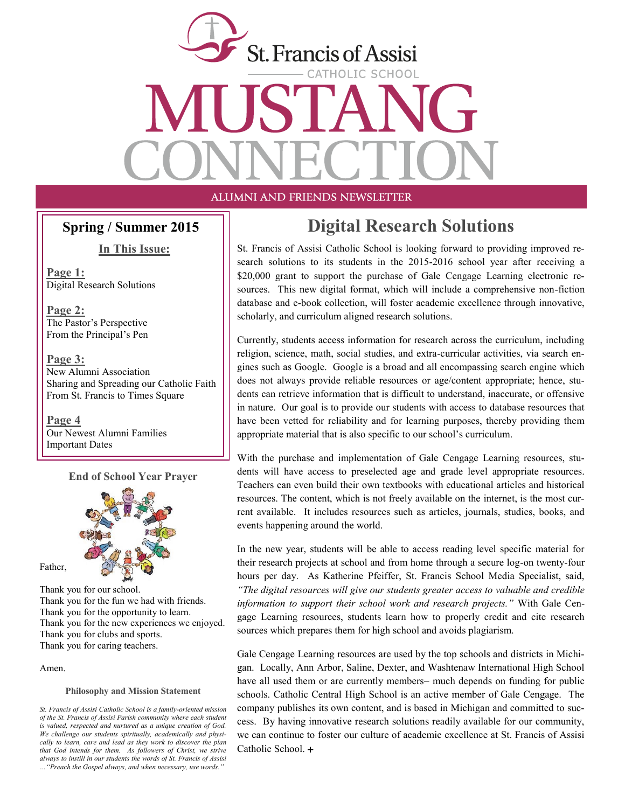

**In This Issue:**

**Page 1:** Digital Research Solutions

**Page 2:** The Pastor's Perspective From the Principal's Pen

**Page 3:** New Alumni Association Sharing and Spreading our Catholic Faith From St. Francis to Times Square

**Page 4** Our Newest Alumni Families Important Dates

#### **End of School Year Prayer**



Thank you for our school. Thank you for the fun we had with friends. Thank you for the opportunity to learn. Thank you for the new experiences we enjoyed. Thank you for clubs and sports. Thank you for caring teachers.

Amen.

Father,

#### **Philosophy and Mission Statement**

# **Spring / Summer 2015 Digital Research Solutions**

St. Francis of Assisi Catholic School is looking forward to providing improved research solutions to its students in the 2015-2016 school year after receiving a \$20,000 grant to support the purchase of Gale Cengage Learning electronic resources. This new digital format, which will include a comprehensive non-fiction database and e-book collection, will foster academic excellence through innovative, scholarly, and curriculum aligned research solutions.

Currently, students access information for research across the curriculum, including religion, science, math, social studies, and extra-curricular activities, via search engines such as Google. Google is a broad and all encompassing search engine which does not always provide reliable resources or age/content appropriate; hence, students can retrieve information that is difficult to understand, inaccurate, or offensive in nature. Our goal is to provide our students with access to database resources that have been vetted for reliability and for learning purposes, thereby providing them appropriate material that is also specific to our school's curriculum.

With the purchase and implementation of Gale Cengage Learning resources, students will have access to preselected age and grade level appropriate resources. Teachers can even build their own textbooks with educational articles and historical resources. The content, which is not freely available on the internet, is the most current available. It includes resources such as articles, journals, studies, books, and events happening around the world.

In the new year, students will be able to access reading level specific material for their research projects at school and from home through a secure log-on twenty-four hours per day. As Katherine Pfeiffer, St. Francis School Media Specialist, said, *"The digital resources will give our students greater access to valuable and credible information to support their school work and research projects."* With Gale Cengage Learning resources, students learn how to properly credit and cite research sources which prepares them for high school and avoids plagiarism.

Gale Cengage Learning resources are used by the top schools and districts in Michigan. Locally, Ann Arbor, Saline, Dexter, and Washtenaw International High School have all used them or are currently members– much depends on funding for public schools. Catholic Central High School is an active member of Gale Cengage. The company publishes its own content, and is based in Michigan and committed to success. By having innovative research solutions readily available for our community, we can continue to foster our culture of academic excellence at St. Francis of Assisi Catholic School. +

*St. Francis of Assisi Catholic School is a family-oriented mission of the St. Francis of Assisi Parish community where each student is valued, respected and nurtured as a unique creation of God. We challenge our students spiritually, academically and physically to learn, care and lead as they work to discover the plan that God intends for them. As followers of Christ, we strive always to instill in our students the words of St. Francis of Assisi …"Preach the Gospel always, and when necessary, use words."*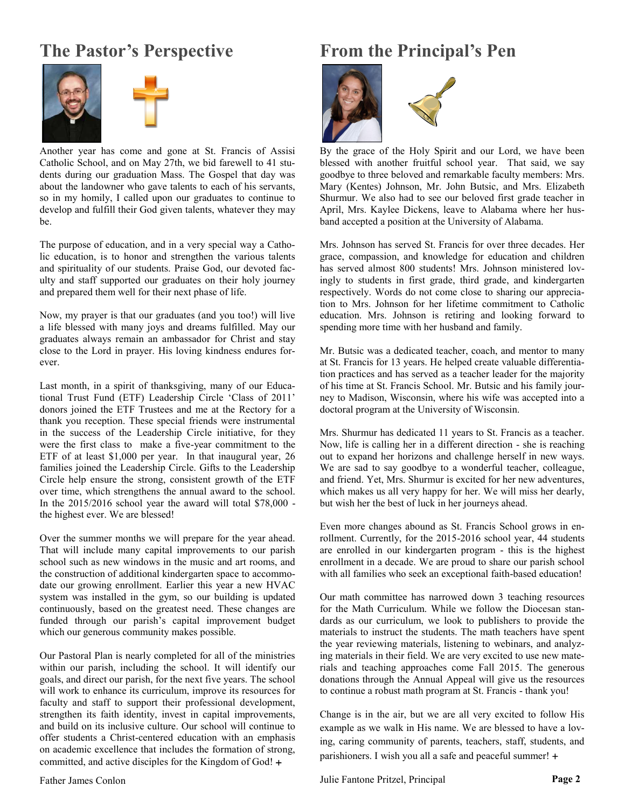### **The Pastor's Perspective**





Another year has come and gone at St. Francis of Assisi Catholic School, and on May 27th, we bid farewell to 41 students during our graduation Mass. The Gospel that day was about the landowner who gave talents to each of his servants, so in my homily, I called upon our graduates to continue to develop and fulfill their God given talents, whatever they may be.

The purpose of education, and in a very special way a Catholic education, is to honor and strengthen the various talents and spirituality of our students. Praise God, our devoted faculty and staff supported our graduates on their holy journey and prepared them well for their next phase of life.

Now, my prayer is that our graduates (and you too!) will live a life blessed with many joys and dreams fulfilled. May our graduates always remain an ambassador for Christ and stay close to the Lord in prayer. His loving kindness endures forever.

Last month, in a spirit of thanksgiving, many of our Educational Trust Fund (ETF) Leadership Circle 'Class of 2011' donors joined the ETF Trustees and me at the Rectory for a thank you reception. These special friends were instrumental in the success of the Leadership Circle initiative, for they were the first class to make a five-year commitment to the ETF of at least \$1,000 per year. In that inaugural year, 26 families joined the Leadership Circle. Gifts to the Leadership Circle help ensure the strong, consistent growth of the ETF over time, which strengthens the annual award to the school. In the 2015/2016 school year the award will total \$78,000 the highest ever. We are blessed!

Over the summer months we will prepare for the year ahead. That will include many capital improvements to our parish school such as new windows in the music and art rooms, and the construction of additional kindergarten space to accommodate our growing enrollment. Earlier this year a new HVAC system was installed in the gym, so our building is updated continuously, based on the greatest need. These changes are funded through our parish's capital improvement budget which our generous community makes possible.

Our Pastoral Plan is nearly completed for all of the ministries within our parish, including the school. It will identify our goals, and direct our parish, for the next five years. The school will work to enhance its curriculum, improve its resources for faculty and staff to support their professional development, strengthen its faith identity, invest in capital improvements, and build on its inclusive culture. Our school will continue to offer students a Christ-centered education with an emphasis on academic excellence that includes the formation of strong, committed, and active disciples for the Kingdom of God!

## **From the Principal's Pen**



By the grace of the Holy Spirit and our Lord, we have been blessed with another fruitful school year. That said, we say goodbye to three beloved and remarkable faculty members: Mrs. Mary (Kentes) Johnson, Mr. John Butsic, and Mrs. Elizabeth Shurmur. We also had to see our beloved first grade teacher in April, Mrs. Kaylee Dickens, leave to Alabama where her husband accepted a position at the University of Alabama.

Mrs. Johnson has served St. Francis for over three decades. Her grace, compassion, and knowledge for education and children has served almost 800 students! Mrs. Johnson ministered lovingly to students in first grade, third grade, and kindergarten respectively. Words do not come close to sharing our appreciation to Mrs. Johnson for her lifetime commitment to Catholic education. Mrs. Johnson is retiring and looking forward to spending more time with her husband and family.

Mr. Butsic was a dedicated teacher, coach, and mentor to many at St. Francis for 13 years. He helped create valuable differentiation practices and has served as a teacher leader for the majority of his time at St. Francis School. Mr. Butsic and his family journey to Madison, Wisconsin, where his wife was accepted into a doctoral program at the University of Wisconsin.

Mrs. Shurmur has dedicated 11 years to St. Francis as a teacher. Now, life is calling her in a different direction - she is reaching out to expand her horizons and challenge herself in new ways. We are sad to say goodbye to a wonderful teacher, colleague, and friend. Yet, Mrs. Shurmur is excited for her new adventures, which makes us all very happy for her. We will miss her dearly, but wish her the best of luck in her journeys ahead.

Even more changes abound as St. Francis School grows in enrollment. Currently, for the 2015-2016 school year, 44 students are enrolled in our kindergarten program - this is the highest enrollment in a decade. We are proud to share our parish school with all families who seek an exceptional faith-based education!

Our math committee has narrowed down 3 teaching resources for the Math Curriculum. While we follow the Diocesan standards as our curriculum, we look to publishers to provide the materials to instruct the students. The math teachers have spent the year reviewing materials, listening to webinars, and analyzing materials in their field. We are very excited to use new materials and teaching approaches come Fall 2015. The generous donations through the Annual Appeal will give us the resources to continue a robust math program at St. Francis - thank you!

Change is in the air, but we are all very excited to follow His example as we walk in His name. We are blessed to have a loving, caring community of parents, teachers, staff, students, and parishioners. I wish you all a safe and peaceful summer! +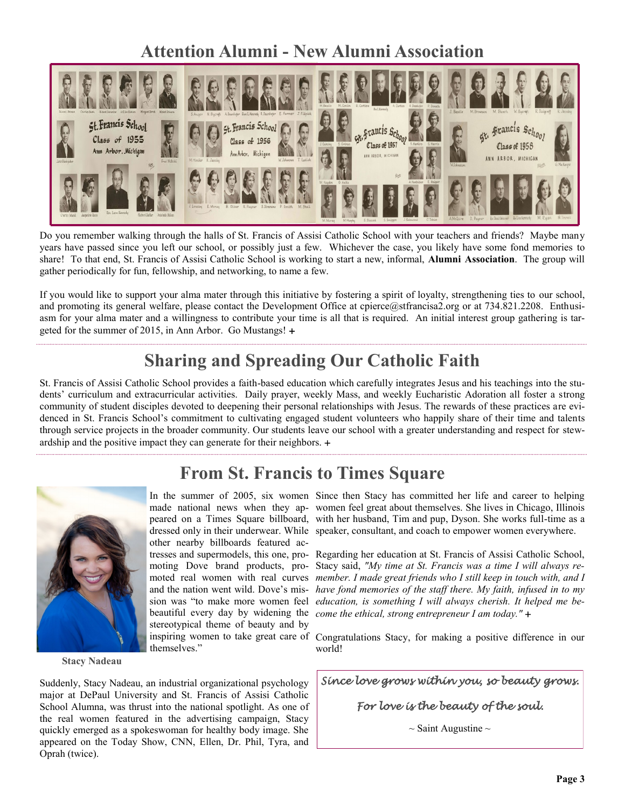# **Attention Alumni - New Alumni Association**



Do you remember walking through the halls of St. Francis of Assisi Catholic School with your teachers and friends? Maybe many years have passed since you left our school, or possibly just a few. Whichever the case, you likely have some fond memories to share! To that end, St. Francis of Assisi Catholic School is working to start a new, informal, **Alumni Association**. The group will gather periodically for fun, fellowship, and networking, to name a few.

If you would like to support your alma mater through this initiative by fostering a spirit of loyalty, strengthening ties to our school, and promoting its general welfare, please contact the Development Office at cpierce@stfrancisa2.org or at 734.821.2208. Enthusiasm for your alma mater and a willingness to contribute your time is all that is required. An initial interest group gathering is targeted for the summer of 2015, in Ann Arbor. Go Mustangs!

## **Sharing and Spreading Our Catholic Faith**

St. Francis of Assisi Catholic School provides a faith-based education which carefully integrates Jesus and his teachings into the students' curriculum and extracurricular activities. Daily prayer, weekly Mass, and weekly Eucharistic Adoration all foster a strong community of student disciples devoted to deepening their personal relationships with Jesus. The rewards of these practices are evidenced in St. Francis School's commitment to cultivating engaged student volunteers who happily share of their time and talents through service projects in the broader community. Our students leave our school with a greater understanding and respect for stewardship and the positive impact they can generate for their neighbors.

## **From St. Francis to Times Square**



**Stacy Nadeau**

other nearby billboards featured acstereotypical theme of beauty and by themselves."

Suddenly, Stacy Nadeau, an industrial organizational psychology major at DePaul University and St. Francis of Assisi Catholic School Alumna, was thrust into the national spotlight. As one of the real women featured in the advertising campaign, Stacy quickly emerged as a spokeswoman for healthy body image. She appeared on the Today Show, CNN, Ellen, Dr. Phil, Tyra, and Oprah (twice).

In the summer of 2005, six women Since then Stacy has committed her life and career to helping made national news when they ap-women feel great about themselves. She lives in Chicago, Illinois peared on a Times Square billboard, with her husband, Tim and pup, Dyson. She works full-time as a dressed only in their underwear. While speaker, consultant, and coach to empower women everywhere.

tresses and supermodels, this one, pro-Regarding her education at St. Francis of Assisi Catholic School, moting Dove brand products, pro-Stacy said, *"My time at St. Francis was a time I will always re*moted real women with real curves *member. I made great friends who I still keep in touch with, and I* and the nation went wild. Dove's mis-*have fond memories of the staff there. My faith, infused in to my*  sion was "to make more women feel *education, is something I will always cherish. It helped me be*beautiful every day by widening the *come the ethical, strong entrepreneur I am today."* 

inspiring women to take great care of Congratulations Stacy, for making a positive difference in our world!

*Since love grows within you, so beauty grows.* 

#### *For love is the beauty of the soul.*

 $\sim$  Saint Augustine  $\sim$